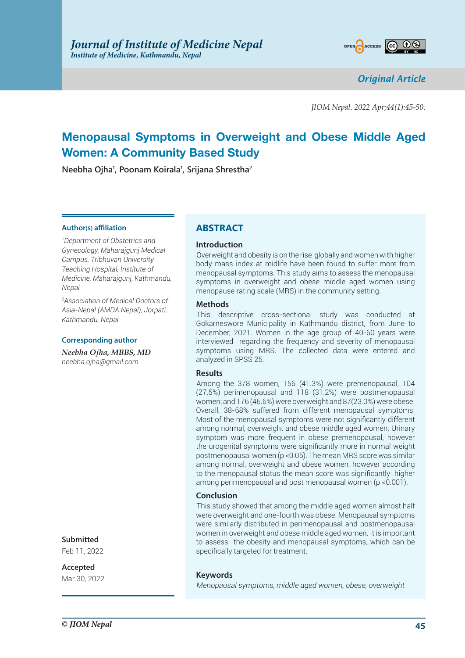

*Original Article*

*JIOM Nepal. 2022 Apr;44(1):45-50.*

# **Menopausal Symptoms in Overweight and Obese Middle Aged Women: A Community Based Study**

**Neebha Ojha1 , Poonam Koirala1 , Srijana Shrestha2**

#### **Author(s) affiliation**

*1 Department of Obstetrics and Gynecology, Maharajgunj Medical Campus, Tribhuvan University Teaching Hospital, Institute of Medicine, Maharajgunj, Kathmandu, Nepal*

*2 Association of Medical Doctors of Asia-Nepal (AMDA Nepal), Jorpati, Kathmandu, Nepal*

#### **Corresponding author**

*Neebha Ojha, MBBS, MD neebha.ojha@gmail.com*

# **Submitted**

Feb 11, 2022

**Accepted**

Mar 30, 2022

# **ABSTRACT**

#### **Introduction**

Overweight and obesity is on the rise globally and women with higher body mass index at midlife have been found to suffer more from menopausal symptoms. This study aims to assess the menopausal symptoms in overweight and obese middle aged women using menopause rating scale (MRS) in the community setting.

#### **Methods**

This descriptive cross-sectional study was conducted at Gokarneswore Municipality in Kathmandu district, from June to December, 2021. Women in the age group of 40-60 years were interviewed regarding the frequency and severity of menopausal symptoms using MRS. The collected data were entered and analyzed in SPSS 25.

#### **Results**

Among the 378 women, 156 (41.3%) were premenopausal, 104 (27.5%) perimenopausal and 118 (31.2%) were postmenopausal women; and 176 (46.6%) were overweight and 87(23.0%) were obese. Overall, 38-68% suffered from different menopausal symptoms. Most of the menopausal symptoms were not significantly different among normal, overweight and obese middle aged women. Urinary symptom was more frequent in obese premenopausal, however the urogenital symptoms were significantly more in normal weight postmenopausal women (p <0.05). The mean MRS score was similar among normal, overweight and obese women, however according to the menopausal status the mean score was significantly higher among perimenopausal and post menopausal women (p <0.001).

#### **Conclusion**

This study showed that among the middle aged women almost half were overweight and one-fourth was obese. Menopausal symptoms were similarly distributed in perimenopausal and postmenopausal women in overweight and obese middle aged women. It is important to assess the obesity and menopausal symptoms, which can be specifically targeted for treatment.

#### **Keywords**

*Menopausal symptoms, middle aged women, obese, overweight*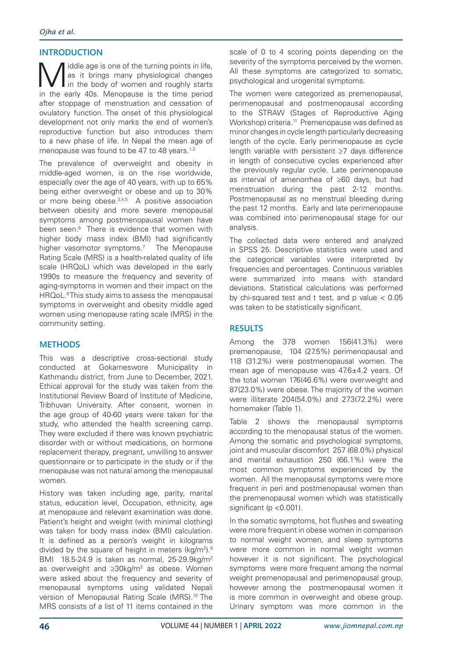# **INTRODUCTION**

Middle age is one of the turning points in life,<br>is it brings many physiological changes<br>in the early 40s. Monopause is the time poriod as it brings many physiological changes I in the body of women and roughly starts in the early 40s. Menopause is the time period after stoppage of menstruation and cessation of ovulatory function. The onset of this physiological development not only marks the end of women's reproductive function but also introduces them to a new phase of life. In Nepal the mean age of menopause was found to be 47 to 48 years.<sup>1,2</sup>

The prevalence of overweight and obesity in middle-aged women, is on the rise worldwide, especially over the age of 40 years, with up to 65% being either overweight or obese and up to 30% or more being obese.<sup>3,4,5</sup> A positive association between obesity and more severe menopausal symptoms among postmenopausal women have been seen.<sup>6</sup> There is evidence that women with higher body mass index (BMI) had significantly higher vasomotor symptoms.<sup>7</sup> The Menopause Rating Scale (MRS) is a health-related quality of life scale (HRQoL) which was developed in the early 1990s to measure the frequency and severity of aging-symptoms in women and their impact on the HRQoL.<sup>8</sup> This study aims to assess the menopausal symptoms in overweight and obesity middle aged women using menopause rating scale (MRS) in the community setting.

# **METHODS**

This was a descriptive cross-sectional study conducted at Gokarneswore Municipality in Kathmandu district, from June to December, 2021. Ethical approval for the study was taken from the Institutional Review Board of Institute of Medicine, Tribhuvan University. After consent, women in the age group of 40-60 years were taken for the study, who attended the health screening camp. They were excluded if there was known psychiatric disorder with or without medications, on hormone replacement therapy, pregnant, unwilling to answer questionnaire or to participate in the study or if the menopause was not natural among the menopausal women.

History was taken including age, parity, marital status, education level, Occupation, ethnicity, age at menopause and relevant examination was done. Patient's height and weight (with minimal clothing) was taken for body mass index (BMI) calculation. It is defined as a person's weight in kilograms divided by the square of height in meters (kg/m<sup>2</sup>).<sup>9</sup> BMI 18.5-24.9 is taken as normal, 25-29.9kg/m2 as overweight and  $\geq 30$ kg/m<sup>2</sup> as obese. Women were asked about the frequency and severity of menopausal symptoms using validated Nepali version of Menopausal Rating Scale (MRS).<sup>10</sup> The MRS consists of a list of 11 items contained in the

scale of 0 to 4 scoring points depending on the severity of the symptoms perceived by the women. All these symptoms are categorized to somatic, psychological and urogenital symptoms.

The women were categorized as premenopausal, perimenopausal and postmenopausal according to the STRAW (Stages of Reproductive Aging Workshop) criteria.<sup>11</sup> Premenopause was defined as minor changes in cycle length particularly decreasing length of the cycle. Early perimenopause as cycle length variable with persistent ≥7 days difference in length of consecutive cycles experienced after the previously regular cycle. Late perimenopause as interval of amenorrhea of ≥60 days, but had menstruation during the past 2-12 months. Postmenopausal as no menstrual bleeding during the past 12 months. Early and late perimenopause was combined into perimenopausal stage for our analysis.

The collected data were entered and analyzed in SPSS 25. Descriptive statistics were used and the categorical variables were interpreted by frequencies and percentages. Continuous variables were summarized into means with standard deviations. Statistical calculations was performed by chi-squared test and t test, and  $p$  value  $< 0.05$ was taken to be statistically significant.

# **RESULTS**

Among the 378 women 156(41.3%) were premenopause, 104 (27.5%) perimenopausal and 118 (31.2%) were postmenopausal women. The mean age of menopause was 47.6±4.2 years. Of the total women 176(46.6%) were overweight and 87(23.0%) were obese. The majority of the women were illiterate 204(54.0%) and 273(72.2%) were homemaker (Table 1).

Table 2 shows the menopausal symptoms according to the menopausal status of the women. Among the somatic and psychological symptoms, joint and muscular discomfort 257 (68.0%) physical and mental exhaustion 250 (66.1%) were the most common symptoms experienced by the women. All the menopausal symptoms were more frequent in peri and postmenopausal women than the premenopausal women which was statistically significant (p < 0.001).

In the somatic symptoms, hot flushes and sweating were more frequent in obese women in comparison to normal weight women, and sleep symptoms were more common in normal weight women however it is not significant. The psychological symptoms were more frequent among the normal weight premenopausal and perimenopausal group, however among the postmenopausal women it is more common in overweight and obese group. Urinary symptom was more common in the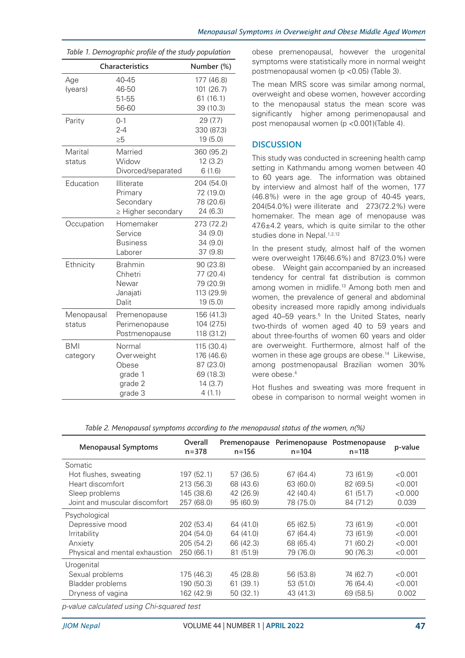| Table 1. Demographic profile of the study population |                                                                |                                                                         |  |
|------------------------------------------------------|----------------------------------------------------------------|-------------------------------------------------------------------------|--|
|                                                      | Characteristics                                                | Number (%)                                                              |  |
| Age<br>(years)                                       | 40-45<br>46-50<br>51-55<br>56-60                               | 177 (46.8)<br>101 (26.7)<br>61(16.1)<br>39 (10.3)                       |  |
| Parity                                               | $0 - 1$<br>$2 - 4$<br>$\geq 5$                                 | 29(7.7)<br>330 (87.3)<br>19 (5.0)                                       |  |
| Marital<br>status                                    | Married<br>Widow<br>Divorced/separated                         | 360 (95.2)<br>12(3.2)<br>6(1.6)                                         |  |
| Education                                            | Illiterate<br>Primary<br>Secondary<br>$\geq$ Higher secondary  | 204 (54.0)<br>72 (19.0)<br>78 (20.6)<br>24 (6.3)                        |  |
| Occupation                                           | Homemaker<br>Service<br><b>Business</b><br>Laborer             | 273 (72.2)<br>34 (9.0)<br>34 (9.0)<br>37 (9.8)                          |  |
| Ethnicity                                            | <b>Brahmin</b><br>Chhetri<br>Newar<br>Janajati<br>Dalit        | 90 (23.8)<br>77 (20.4)<br>79 (20.9)<br>113 (29.9)<br>19 (5.0)           |  |
| Menopausal<br>status                                 | Premenopause<br>Perimenopause<br>Postmenopause                 | 156 (41.3)<br>104 (27.5)<br>118 (31.2)                                  |  |
| <b>BMI</b><br>category                               | Normal<br>Overweight<br>Obese<br>grade 1<br>grade 2<br>grade 3 | 115 (30.4)<br>176 (46.6)<br>87 (23.0)<br>69 (18.3)<br>14(3.7)<br>4(1.1) |  |

obese premenopausal, however the urogenital symptoms were statistically more in normal weight postmenopausal women (p <0.05) (Table 3).

The mean MRS score was similar among normal, overweight and obese women, however according to the menopausal status the mean score was significantly higher among perimenopausal and post menopausal women (p <0.001)(Table 4).

### **DISCUSSION**

This study was conducted in screening health camp setting in Kathmandu among women between 40 to 60 years age. The information was obtained by interview and almost half of the women, 177 (46.8%) were in the age group of 40-45 years, 204(54.0%) were illiterate and 273(72.2%) were homemaker. The mean age of menopause was 47.6±4.2 years, which is quite similar to the other studies done in Nepal.<sup>1,2,12</sup>

In the present study, almost half of the women were overweight 176(46.6%) and 87(23.0%) were obese. Weight gain accompanied by an increased tendency for central fat distribution is common among women in midlife.13 Among both men and women, the prevalence of general and abdominal obesity increased more rapidly among individuals aged 40–59 years.<sup>5</sup> In the United States, nearly two-thirds of women aged 40 to 59 years and about three-fourths of women 60 years and older are overweight. Furthermore, almost half of the women in these age groups are obese.<sup>14</sup> Likewise, among postmenopausal Brazilian women 30% were obese.<sup>4</sup>

Hot flushes and sweating was more frequent in obese in comparison to normal weight women in

| Table 2. Menopausal symptoms according to the menopausal status of the women, n(%) |  |  |  |
|------------------------------------------------------------------------------------|--|--|--|
|------------------------------------------------------------------------------------|--|--|--|

| <b>Menopausal Symptoms</b>     | Overall<br>$n = 378$ | Premenopause<br>$n = 156$ | $n = 104$ | Perimenopause Postmenopause<br>$n = 118$ | p-value |
|--------------------------------|----------------------|---------------------------|-----------|------------------------------------------|---------|
| Somatic                        |                      |                           |           |                                          |         |
| Hot flushes, sweating          | 197 (52.1)           | 57 (36.5)                 | 67 (64.4) | 73 (61.9)                                | < 0.001 |
| Heart discomfort               | 213 (56.3)           | 68 (43.6)                 | 63 (60.0) | 82 (69.5)                                | < 0.001 |
| Sleep problems                 | 145 (38.6)           | 42 (26.9)                 | 42 (40.4) | 61(51.7)                                 | < 0.000 |
| Joint and muscular discomfort  | 257 (68.0)           | 95 (60.9)                 | 78 (75.0) | 84 (71.2)                                | 0.039   |
| Psychological                  |                      |                           |           |                                          |         |
| Depressive mood                | 202 (53.4)           | 64 (41.0)                 | 65 (62.5) | 73 (61.9)                                | < 0.001 |
| Irritability                   | 204 (54.0)           | 64 (41.0)                 | 67 (64.4) | 73 (61.9)                                | < 0.001 |
| Anxiety                        | 205 (54.2)           | 66 (42.3)                 | 68 (65.4) | 71 (60.2)                                | < 0.001 |
| Physical and mental exhaustion | 250 (66.1)           | 81 (51.9)                 | 79 (76.0) | 90 (76.3)                                | < 0.001 |
| Urogenital                     |                      |                           |           |                                          |         |
| Sexual problems                | 175 (46.3)           | 45 (28.8)                 | 56 (53.8) | 74 (62.7)                                | < 0.001 |
| Bladder problems               | 190 (50.3)           | 61(39.1)                  | 53 (51.0) | 76 (64.4)                                | < 0.001 |
| Dryness of vagina              | 162 (42.9)           | 50(32.1)                  | 43 (41.3) | 69 (58.5)                                | 0.002   |
| .                              |                      |                           |           |                                          |         |

*p-value calculated using Chi-squared test*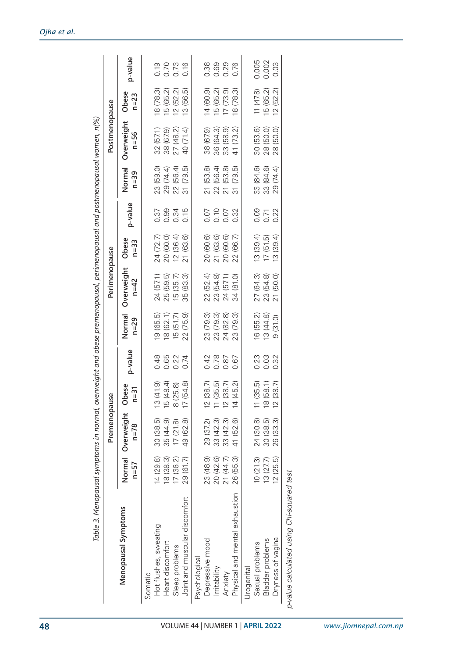|                                           |           | Premenopause                  |                                    |         |                    | Perimenopause        |                   |         |                          | Postmenopause      |                                          |         |
|-------------------------------------------|-----------|-------------------------------|------------------------------------|---------|--------------------|----------------------|-------------------|---------|--------------------------|--------------------|------------------------------------------|---------|
| Menopausal Symptoms                       | $n=57$    | Normal Overweight<br>$n = 78$ | Obese<br>$n = 31$                  | p-value | Normal<br>$n = 29$ | Overweight<br>$n=42$ | Obese<br>$n = 33$ | p-value | Normal<br>$n = 39$       | Overweight<br>n=56 | Obese<br>$n = 23$                        | p-value |
| Hot flushes, sweating<br>Somatic          | 14(29.8)  | 30 (38.5)                     | 3(41.9)                            | 0.48    | 19(65.5)           | 24 (57.1)            | 24 (72.7)         | 0.37    |                          | 32 (57.1)          | 18 (78.3)                                | 0.19    |
| Heart discomfort                          | 18 (38.3) | 35 (44.9)                     | 5 (48.4)                           | 0.65    | 18 (62.1)          | 25 (59.5)            | 20 (60.0)         | 0.99    | 23 (59.0)<br>29 (74.4)   | 38 (67.9)          | 15 (65.2)                                |         |
| Sleep problems                            | 17(36.2)  | 17(21.8)                      | 3(25.8)                            | 0.22    | 15(51.7)           | 15 (35.7)            | 12(36.4)          | 0.34    | 22 (56.4)                | 27 (48.2)          | 12(52.2)                                 | 0.73    |
| Joint and muscular discomfort             | 29 (61.7) | 49 (62.8)                     | 7(54.8)                            | 0.74    | 22(75.9)           | 35 (83.3)            | 21 (63.6)         | 0.15    | 31(79.5)                 | 40 (71.4)          | 13(56.5)                                 | 0.16    |
| Psychological                             |           |                               |                                    |         |                    |                      |                   |         |                          |                    |                                          |         |
| Depressive mood                           | 23 (48.9) | 29 (37.2)                     | (38.7)                             | 0.42    | 23 (79.3)          | 22 (52.4)            | 20 (60.6)         | 0.07    | 21(53.8)                 | 38 (67.9)          | 14(60.9)                                 | 0.38    |
| Irritability                              | 20 (42.6) | 33 (42.3)                     | (35.5)<br>$\overline{\phantom{0}}$ | 0.78    | 23 (79.3)          | 23 (54.8)            | 21 (63.6)         | 0.10    | 22 (56.4)                | 36 (64.3)          | 15 (65.2)                                | 0.69    |
| Anxiety                                   | 21 (44.7) | 33 (42.3)                     | 2(38.7)                            | 0.87    | 24 (82.8)          | 24 (57.1)            | 20 (60.6)         | 0.07    | 21(53.8)                 | 33 (58.9)          | 17(73.9)                                 | 0.29    |
| Physical and mental exhaustion            | 26 (55.3) | 41 (52.6)                     | 4 (45.2)                           | 0.67    | 23 (79.3)          | 34 (81.0)            | 22 (66.7)         | 0.32    | (79.5)<br>$\overline{3}$ | 41 (73.2)          | (78.3)<br>$\overline{\underline{\circ}}$ | 0.76    |
| Jrogenital                                |           |                               |                                    |         |                    |                      |                   |         |                          |                    |                                          |         |
| Sexual problems                           | 10(21.3)  | 24 (30.8)                     | (35.5)                             | 0.23    | 16 (55.2)          | 27 (64.3)            | 13(39.4)          | 0.09    |                          | 30 (53.6)          | 11(478)                                  | 0.005   |
| <b>Bladder</b> problems                   | 13(27.7)  | 30 (38.5)                     | 8 (58.1)                           | 0.03    | 13(44.8)           | 23 (54.8)            | 17(51.5)          | 0.71    | 33 (84.6)<br>33 (84.6)   | 28 (50.0)          | 15 (65.2)                                | 0.002   |
| Dryness of vagina                         | 12(25.5)  | 26 (33.3)                     | (38.7)                             | 0.32    | 9(31.0)            | 21 (50.0)            | (3(39.4)          | 0.22    | 29 (74.4)                | 28 (50.0)          | 12(52.2)                                 | 0.03    |
| p-value calculated using Chi-squared test |           |                               |                                    |         |                    |                      |                   |         |                          |                    |                                          |         |

| ו כמווחדת ל<br>Ś              |  |
|-------------------------------|--|
| י הורא<br>֩֩֩֩֩֩֩֩֠֠֩֩׆<br>֧֩ |  |
| ו מחווח†המ<br><b>シュワンシン</b>   |  |
| סוווכורת<br>)<br>5<br>5<br>ℷ  |  |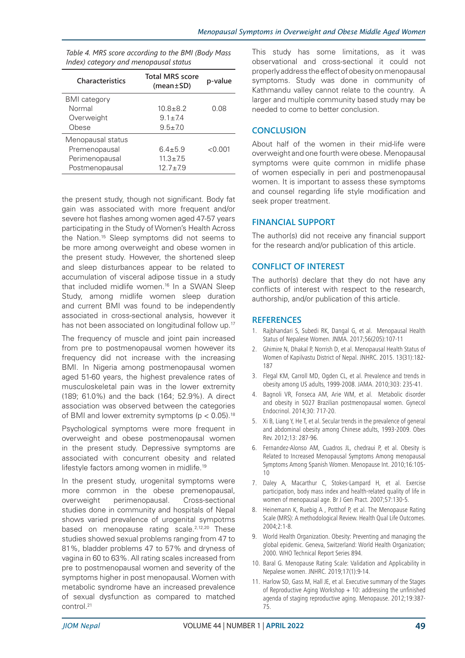| <b>Characteristics</b> | <b>Total MRS score</b><br>$(mean \pm SD)$ | p-value   |
|------------------------|-------------------------------------------|-----------|
| <b>BMI</b> category    |                                           |           |
| Normal                 | $10.8 + 8.2$                              | 0.08      |
| Overweight             | $9.1 + 74$                                |           |
| Obese                  | $9.5 \pm 7.0$                             |           |
| Menopausal status      |                                           |           |
| Premenopausal          | $6.4 + 5.9$                               | $<$ 0.001 |
| Perimenopausal         | $11.3 \pm 7.5$                            |           |
| Postmenopausal         | $12.7 + 7.9$                              |           |

*Table 4. MRS score according to the BMI (Body Mass Index) category and menopausal status*

the present study, though not significant. Body fat gain was associated with more frequent and/or severe hot flashes among women aged 47-57 years participating in the Study of Women's Health Across the Nation.15 Sleep symptoms did not seems to be more among overweight and obese women in the present study. However, the shortened sleep and sleep disturbances appear to be related to accumulation of visceral adipose tissue in a study that included midlife women.16 In a SWAN Sleep Study, among midlife women sleep duration and current BMI was found to be independently associated in cross-sectional analysis, however it has not been associated on longitudinal follow up.<sup>17</sup>

The frequency of muscle and joint pain increased from pre to postmenopausal women however its frequency did not increase with the increasing BMI. In Nigeria among postmenopausal women aged 51-60 years, the highest prevalence rates of musculoskeletal pain was in the lower extremity (189; 61.0%) and the back (164; 52.9%). A direct association was observed between the categories of BMI and lower extremity symptoms ( $p < 0.05$ ).<sup>18</sup>

Psychological symptoms were more frequent in overweight and obese postmenopausal women in the present study. Depressive symptoms are associated with concurrent obesity and related lifestyle factors among women in midlife.19

In the present study, urogenital symptoms were more common in the obese premenopausal, overweight perimenopausal. Cross-sectional studies done in community and hospitals of Nepal shows varied prevalence of urogenital sympotms based on menopause rating scale.<sup>2,12,20</sup> These studies showed sexual problems ranging from 47 to 81%, bladder problems 47 to 57% and dryness of vagina in 60 to 63%. All rating scales increased from pre to postmenopausal women and severity of the symptoms higher in post menopausal. Women with metabolic syndrome have an increased prevalence of sexual dysfunction as compared to matched control.<sup>21</sup>

This study has some limitations, as it was observational and cross-sectional it could not properly address the effect of obesity on menopausal symptoms. Study was done in community of Kathmandu valley cannot relate to the country. A larger and multiple community based study may be needed to come to better conclusion.

# **CONCLUSION**

About half of the women in their mid-life were overweight and one fourth were obese. Menopausal symptoms were quite common in midlife phase of women especially in peri and postmenopausal women. It is important to assess these symptoms and counsel regarding life style modification and seek proper treatment.

### **FINANCIAL SUPPORT**

The author(s) did not receive any financial support for the research and/or publication of this article.

# **CONFLICT OF INTEREST**

The author(s) declare that they do not have any conflicts of interest with respect to the research, authorship, and/or publication of this article.

### **REFERENCES**

- 1. Rajbhandari S, Subedi RK, Dangal G, et al. Menopausal Health Status of Nepalese Women. JNMA. 2017;56(205):107-11
- 2. Ghimire N, Dhakal P, Norrish D, et al. Menopausal Health Status of Women of Kapilvastu District of Nepal. JNHRC. 2015. 13(31):182- 187
- 3. Flegal KM, Carroll MD, Ogden CL, et al. Prevalence and trends in obesity among US adults, 1999-2008. JAMA. 2010;303: 235-41.
- 4. Bagnoli VR, Fonseca AM, Arie WM, et al. Metabolic disorder and obesity in 5027 Brazilian postmenopausal women. Gynecol Endocrinol. 2014;30: 717-20.
- 5. Xi B, Liang Y, He T, et al. Secular trends in the prevalence of general and abdominal obesity among Chinese adults, 1993-2009. Obes Rev. 2012;13: 287-96.
- 6. Fernandez-Alonso AM, Cuadros JL, chedraui P, et al. Obesity is Related to Increased Menopausal Symptoms Among menopausal Symptoms Among Spanish Women. Menopause Int. 2010;16:105- 10
- 7. Daley A, Macarthur C, Stokes-Lampard H, et al. Exercise participation, body mass index and health-related quality of life in women of menopausal age. Br J Gen Pract. 2007;57:130-5.
- 8. Heinemann K, Ruebig A , Potthof P, et al. The Menopause Rating Scale (MRS): A methodological Review. Health Qual Life Outcomes. 2004;2:1-8.
- 9. World Health Organization. Obesity: Preventing and managing the global epidemic. Geneva, Switzerland: World Health Organization; 2000. WHO Technical Report Series 894.
- 10. Baral G. Menopause Rating Scale: Validation and Applicability in Nepalese women. JNHRC. 2019;17(1):9-14.
- 11. Harlow SD, Gass M, Hall JE, et al. Executive summary of the Stages of Reproductive Aging Workshop  $+$  10: addressing the unfinished agenda of staging reproductive aging. Menopause. 2012;19:387- 75.